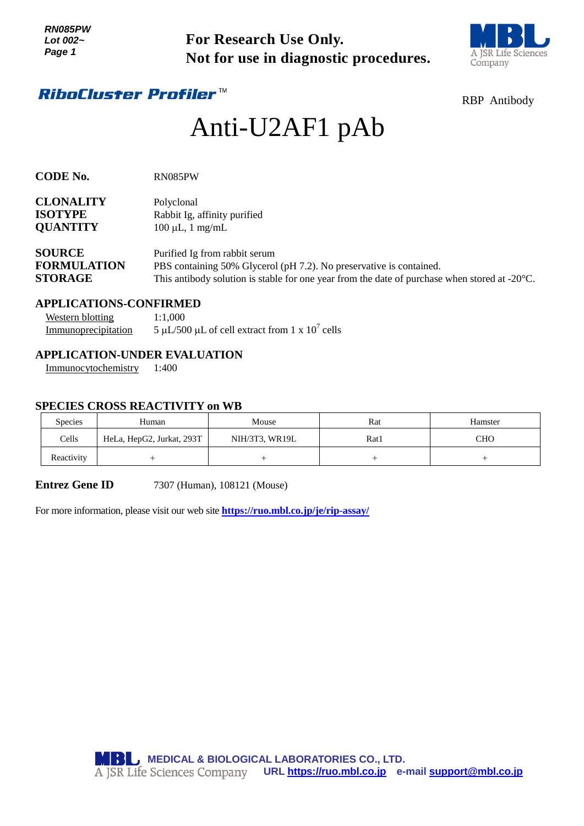

# Anti-U2AF1 pAb

| Lot 002~<br>Page 1                                                              |  | <b>For Research Use Only.</b><br>Not for use in diagnostic procedures.                                                                                                                                          | A JSR Life Scienc<br>Company                                                        |                                                                                |                                  |  |  |
|---------------------------------------------------------------------------------|--|-----------------------------------------------------------------------------------------------------------------------------------------------------------------------------------------------------------------|-------------------------------------------------------------------------------------|--------------------------------------------------------------------------------|----------------------------------|--|--|
|                                                                                 |  | <i><b>RiboCluster Profiler™</b></i>                                                                                                                                                                             |                                                                                     |                                                                                | <b>RBP</b> Antibody              |  |  |
|                                                                                 |  |                                                                                                                                                                                                                 | Anti-U2AF1 pAb                                                                      |                                                                                |                                  |  |  |
| <b>CODE No.</b>                                                                 |  | RN085PW                                                                                                                                                                                                         |                                                                                     |                                                                                |                                  |  |  |
| <b>CLONALITY</b><br><b>ISOTYPE</b><br><b>QUANTITY</b>                           |  | Polyclonal<br>Rabbit Ig, affinity purified<br>$100 \mu L$ , 1 mg/mL                                                                                                                                             |                                                                                     |                                                                                |                                  |  |  |
| <b>SOURCE</b><br><b>FORMULATION</b><br><b>STORAGE</b>                           |  | Purified Ig from rabbit serum<br>PBS containing 50% Glycerol (pH 7.2). No preservative is contained.<br>This antibody solution is stable for one year from the date of purchase when stored at $-20^{\circ}$ C. |                                                                                     |                                                                                |                                  |  |  |
| <b>APPLICATIONS-CONFIRMED</b><br><b>Western blotting</b><br>Immunoprecipitation |  | 1:1,000                                                                                                                                                                                                         | 5 µL/500 µL of cell extract from 1 x $10^7$ cells                                   |                                                                                |                                  |  |  |
| Immunocytochemistry                                                             |  | <b>APPLICATION-UNDER EVALUATION</b><br>1:400                                                                                                                                                                    |                                                                                     |                                                                                |                                  |  |  |
|                                                                                 |  | <b>SPECIES CROSS REACTIVITY on WB</b>                                                                                                                                                                           |                                                                                     |                                                                                |                                  |  |  |
| Species                                                                         |  | Human                                                                                                                                                                                                           | Mouse                                                                               | Rat                                                                            | Hamster                          |  |  |
| Cells                                                                           |  | HeLa, HepG2, Jurkat, 293T                                                                                                                                                                                       | NIH/3T3, WR19L                                                                      | Rat1                                                                           | <b>CHO</b>                       |  |  |
| Reactivity                                                                      |  | $^{+}$                                                                                                                                                                                                          | $^{+}$                                                                              | $^{+}$                                                                         | $\begin{array}{c} + \end{array}$ |  |  |
| <b>Entrez Gene ID</b>                                                           |  |                                                                                                                                                                                                                 | 7307 (Human), 108121 (Mouse)                                                        |                                                                                |                                  |  |  |
|                                                                                 |  |                                                                                                                                                                                                                 | For more information, please visit our web site https://ruo.mbl.co.jp/je/rip-assay/ |                                                                                |                                  |  |  |
|                                                                                 |  |                                                                                                                                                                                                                 | <b>MBL</b> MEDICAL & BIOLOGICAL LABORATORIES CO., LTD.                              | A JSR Life Sciences Company URL https://ruo.mbl.co.jp e-mail support@mbl.co.jp |                                  |  |  |

#### **APPLICATIONS-CONFIRMED**

| Western blotting    | 1:1,000                                           |
|---------------------|---------------------------------------------------|
| Immunoprecipitation | 5 µL/500 µL of cell extract from 1 x $10^7$ cells |

# **APPLICATION-UNDER EVALUATION**

### **SPECIES CROSS REACTIVITY on WB**

| <b>Species</b> | Human                     | Mouse          | Rat  | Hamster |
|----------------|---------------------------|----------------|------|---------|
| Cells          | HeLa, HepG2, Jurkat, 293T | NIH/3T3, WR19L | Rat1 | сно     |
| Reactivity     |                           |                |      |         |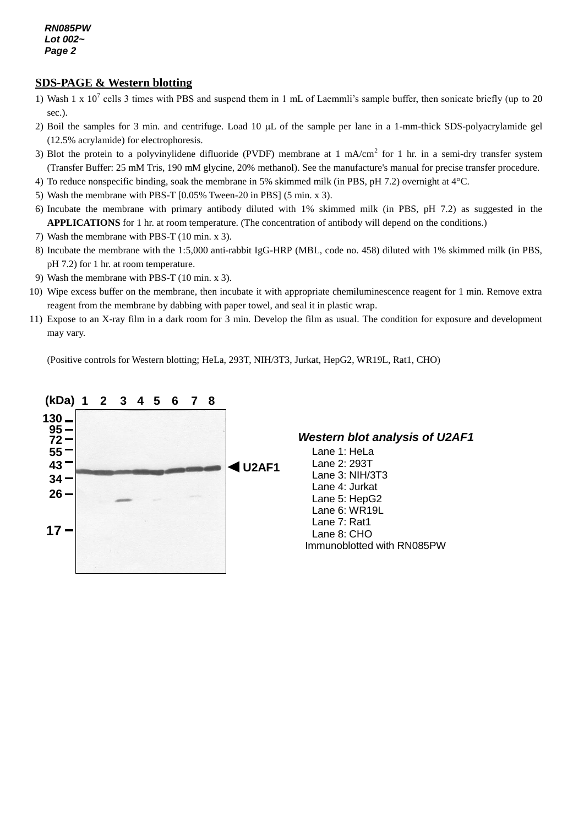#### **SDS-PAGE & Western blotting**

- 1) Wash 1 x  $10^7$  cells 3 times with PBS and suspend them in 1 mL of Laemmli's sample buffer, then sonicate briefly (up to 20 sec.).
- 2) Boil the samples for 3 min. and centrifuge. Load 10  $\mu$ L of the sample per lane in a 1-mm-thick SDS-polyacrylamide gel (12.5% acrylamide) for electrophoresis.
- 3) Blot the protein to a polyvinylidene difluoride (PVDF) membrane at 1 mA/cm<sup>2</sup> for 1 hr. in a semi-dry transfer system (Transfer Buffer: 25 mM Tris, 190 mM glycine, 20% methanol). See the manufacture's manual for precise transfer procedure.
- 4) To reduce nonspecific binding, soak the membrane in 5% skimmed milk (in PBS, pH 7.2) overnight at 4°C.
- 5) Wash the membrane with PBS-T [0.05% Tween-20 in PBS] (5 min. x 3).
- 6) Incubate the membrane with primary antibody diluted with 1% skimmed milk (in PBS, pH 7.2) as suggested in the **APPLICATIONS** for 1 hr. at room temperature. (The concentration of antibody will depend on the conditions.)
- 7) Wash the membrane with PBS-T (10 min. x 3).
- 8) Incubate the membrane with the 1:5,000 anti-rabbit IgG-HRP (MBL, code no. 458) diluted with 1% skimmed milk (in PBS, pH 7.2) for 1 hr. at room temperature.
- 9) Wash the membrane with PBS-T (10 min. x 3).
- 10) Wipe excess buffer on the membrane, then incubate it with appropriate chemiluminescence reagent for 1 min. Remove extra reagent from the membrane by dabbing with paper towel, and seal it in plastic wrap.
- 11) Expose to an X-ray film in a dark room for 3 min. Develop the film as usual. The condition for exposure and development may vary.

(Positive controls for Western blotting; HeLa, 293T, NIH/3T3, Jurkat, HepG2, WR19L, Rat1, CHO)



*Western blot analysis of U2AF1*

Lane 1: HeLa Lane 2: 293T Lane 3: NIH/3T3 Lane 4: Jurkat Lane 5: HepG2 Lane 6: WR19L Lane 7: Rat1 Lane 8: CHO Immunoblotted with RN085PW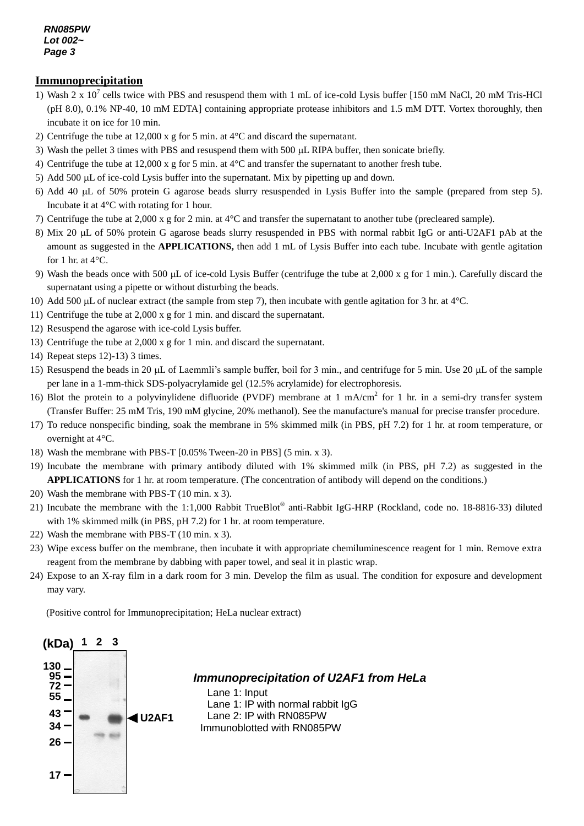#### *RN085PW Lot 002~ Page 3*

#### **Immunoprecipitation**

- 1) Wash 2 x  $10^7$  cells twice with PBS and resuspend them with 1 mL of ice-cold Lysis buffer [150 mM NaCl, 20 mM Tris-HCl (pH 8.0), 0.1% NP-40, 10 mM EDTA] containing appropriate protease inhibitors and 1.5 mM DTT. Vortex thoroughly, then incubate it on ice for 10 min.
- 2) Centrifuge the tube at 12,000 x g for 5 min. at  $4^{\circ}$ C and discard the supernatant.
- 3) Wash the pellet 3 times with PBS and resuspend them with 500 µL RIPA buffer, then sonicate briefly.
- 4) Centrifuge the tube at 12,000 x g for 5 min. at 4°C and transfer the supernatant to another fresh tube.
- 5) Add 500 µL of ice-cold Lysis buffer into the supernatant. Mix by pipetting up and down.
- 6) Add 40 L of 50% protein G agarose beads slurry resuspended in Lysis Buffer into the sample (prepared from step 5). Incubate it at 4°C with rotating for 1 hour.
- 7) Centrifuge the tube at 2,000 x g for 2 min. at 4°C and transfer the supernatant to another tube (precleared sample).
- 8) Mix 20 µL of 50% protein G agarose beads slurry resuspended in PBS with normal rabbit IgG or anti-U2AF1 pAb at the amount as suggested in the **APPLICATIONS,** then add 1 mL of Lysis Buffer into each tube. Incubate with gentle agitation for 1 hr. at  $4^{\circ}$ C.
- 9) Wash the beads once with 500 µL of ice-cold Lysis Buffer (centrifuge the tube at 2,000 x g for 1 min.). Carefully discard the supernatant using a pipette or without disturbing the beads.
- 10) Add 500  $\mu$ L of nuclear extract (the sample from step 7), then incubate with gentle agitation for 3 hr. at 4°C.
- 11) Centrifuge the tube at 2,000 x g for 1 min. and discard the supernatant.
- 12) Resuspend the agarose with ice-cold Lysis buffer.
- 13) Centrifuge the tube at 2,000 x g for 1 min. and discard the supernatant.
- 14) Repeat steps 12)-13) 3 times.
- 15) Resuspend the beads in 20  $\mu$ L of Laemmli's sample buffer, boil for 3 min., and centrifuge for 5 min. Use 20  $\mu$ L of the sample per lane in a 1-mm-thick SDS-polyacrylamide gel (12.5% acrylamide) for electrophoresis.
- 16) Blot the protein to a polyvinylidene difluoride (PVDF) membrane at 1 mA/cm<sup>2</sup> for 1 hr. in a semi-dry transfer system (Transfer Buffer: 25 mM Tris, 190 mM glycine, 20% methanol). See the manufacture's manual for precise transfer procedure.
- 17) To reduce nonspecific binding, soak the membrane in 5% skimmed milk (in PBS, pH 7.2) for 1 hr. at room temperature, or overnight at 4°C.
- 18) Wash the membrane with PBS-T [0.05% Tween-20 in PBS] (5 min. x 3).
- 19) Incubate the membrane with primary antibody diluted with 1% skimmed milk (in PBS, pH 7.2) as suggested in the **APPLICATIONS** for 1 hr. at room temperature. (The concentration of antibody will depend on the conditions.)
- 20) Wash the membrane with PBS-T (10 min. x 3).
- 21) Incubate the membrane with the 1:1,000 Rabbit TrueBlot<sup>®</sup> anti-Rabbit IgG-HRP (Rockland, code no. 18-8816-33) diluted with 1% skimmed milk (in PBS, pH 7.2) for 1 hr. at room temperature.
- 22) Wash the membrane with PBS-T (10 min. x 3).
- 23) Wipe excess buffer on the membrane, then incubate it with appropriate chemiluminescence reagent for 1 min. Remove extra reagent from the membrane by dabbing with paper towel, and seal it in plastic wrap.
- 24) Expose to an X-ray film in a dark room for 3 min. Develop the film as usual. The condition for exposure and development may vary.

(Positive control for Immunoprecipitation; HeLa nuclear extract)



*Immunoprecipitation of U2AF1 from HeLa*

Lane 1: Input Lane 1: IP with normal rabbit IgG Lane 2: IP with RN085PW Immunoblotted with RN085PW